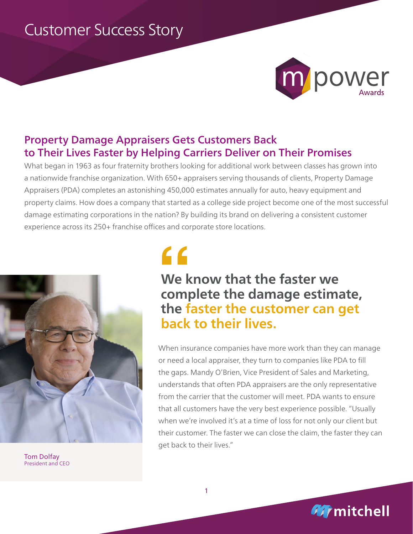# Customer Success Story



# Property Damage Appraisers Gets Customers Back to Their Lives Faster by Helping Carriers Deliver on Their Promises

What began in 1963 as four fraternity brothers looking for additional work between classes has grown into a nationwide franchise organization. With 650+ appraisers serving thousands of clients, Property Damage Appraisers (PDA) completes an astonishing 450,000 estimates annually for auto, heavy equipment and property claims. How does a company that started as a college side project become one of the most successful damage estimating corporations in the nation? By building its brand on delivering a consistent customer experience across its 250+ franchise offices and corporate store locations.



Tom Dolfay President and CEO

# **"**

# **We know that the faster we complete the damage estimate, the faster the customer can get back to their lives.**

When insurance companies have more work than they can manage or need a local appraiser, they turn to companies like PDA to fill the gaps. Mandy O'Brien, Vice President of Sales and Marketing, understands that often PDA appraisers are the only representative from the carrier that the customer will meet. PDA wants to ensure that all customers have the very best experience possible. "Usually when we're involved it's at a time of loss for not only our client but their customer. The faster we can close the claim, the faster they can get back to their lives."

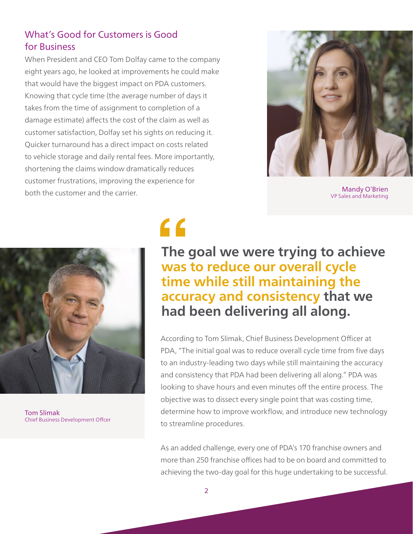## What's Good for Customers is Good for Business

When President and CEO Tom Dolfay came to the company eight years ago, he looked at improvements he could make that would have the biggest impact on PDA customers. Knowing that cycle time (the average number of days it takes from the time of assignment to completion of a damage estimate) affects the cost of the claim as well as customer satisfaction, Dolfay set his sights on reducing it. Quicker turnaround has a direct impact on costs related to vehicle storage and daily rental fees. More importantly, shortening the claims window dramatically reduces customer frustrations, improving the experience for both the customer and the carrier.



Mandy O'Brien VP Sales and Marketing



Tom Slimak Chief Business Development Offcer

**f**<br>The<br>was<br>time **The goal we were trying to achieve was to reduce our overall cycle time while still maintaining the accuracy and consistency that we had been delivering all along.**

According to Tom Slimak, Chief Business Development Officer at PDA, "The initial goal was to reduce overall cycle time from five days to an industry-leading two days while still maintaining the accuracy and consistency that PDA had been delivering all along." PDA was looking to shave hours and even minutes off the entire process. The objective was to dissect every single point that was costing time, determine how to improve workflow, and introduce new technology to streamline procedures.

As an added challenge, every one of PDA's 170 franchise owners and more than 250 franchise offices had to be on board and committed to achieving the two-day goal for this huge undertaking to be successful.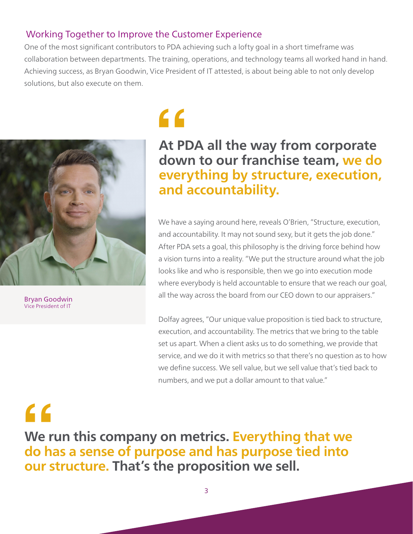# Working Together to Improve the Customer Experience

One of the most significant contributors to PDA achieving such a lofty goal in a short timeframe was collaboration between departments. The training, operations, and technology teams all worked hand in hand. Achieving success, as Bryan Goodwin, Vice President of IT attested, is about being able to not only develop solutions, but also execute on them.



Bryan Goodwin Vice President of IT

# **"**

# **At PDA all the way from corporate down to our franchise team, we do everything by structure, execution, and accountability.**

We have a saying around here, reveals O'Brien, "Structure, execution, and accountability. It may not sound sexy, but it gets the job done." After PDA sets a goal, this philosophy is the driving force behind how a vision turns into a reality. "We put the structure around what the job looks like and who is responsible, then we go into execution mode where everybody is held accountable to ensure that we reach our goal, all the way across the board from our CEO down to our appraisers."

Dolfay agrees, "Our unique value proposition is tied back to structure, execution, and accountability. The metrics that we bring to the table set us apart. When a client asks us to do something, we provide that service, and we do it with metrics so that there's no question as to how we define success. We sell value, but we sell value that's tied back to numbers, and we put a dollar amount to that value."

# **"**

**We run this company on metrics. Everything that we do has a sense of purpose and has purpose tied into our structure. That's the proposition we sell.**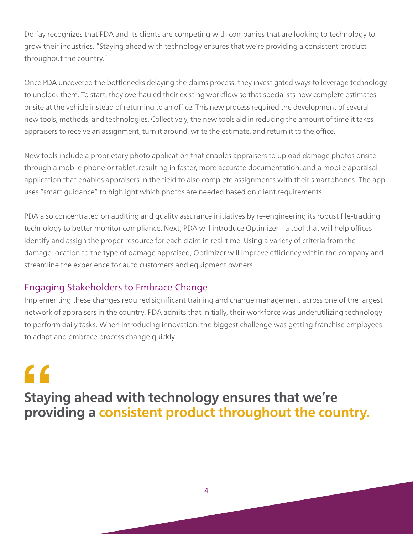Dolfay recognizes that PDA and its clients are competing with companies that are looking to technology to grow their industries. "Staying ahead with technology ensures that we're providing a consistent product throughout the country."

Once PDA uncovered the bottlenecks delaying the claims process, they investigated ways to leverage technology to unblock them. To start, they overhauled their existing workflow so that specialists now complete estimates onsite at the vehicle instead of returning to an office. This new process required the development of several new tools, methods, and technologies. Collectively, the new tools aid in reducing the amount of time it takes appraisers to receive an assignment, turn it around, write the estimate, and return it to the office.

New tools include a proprietary photo application that enables appraisers to upload damage photos onsite through a mobile phone or tablet, resulting in faster, more accurate documentation, and a mobile appraisal application that enables appraisers in the field to also complete assignments with their smartphones. The app uses "smart guidance" to highlight which photos are needed based on client requirements.

PDA also concentrated on auditing and quality assurance initiatives by re-engineering its robust file-tracking technology to better monitor compliance. Next, PDA will introduce Optimizer—a tool that will help offices identify and assign the proper resource for each claim in real-time. Using a variety of criteria from the damage location to the type of damage appraised, Optimizer will improve efficiency within the company and streamline the experience for auto customers and equipment owners.

## Engaging Stakeholders to Embrace Change

Implementing these changes required significant training and change management across one of the largest network of appraisers in the country. PDA admits that initially, their workforce was underutilizing technology to perform daily tasks. When introducing innovation, the biggest challenge was getting franchise employees to adapt and embrace process change quickly.

**f**<br>Stayi<br>prov **Staying ahead with technology ensures that we're providing a consistent product throughout the country.**